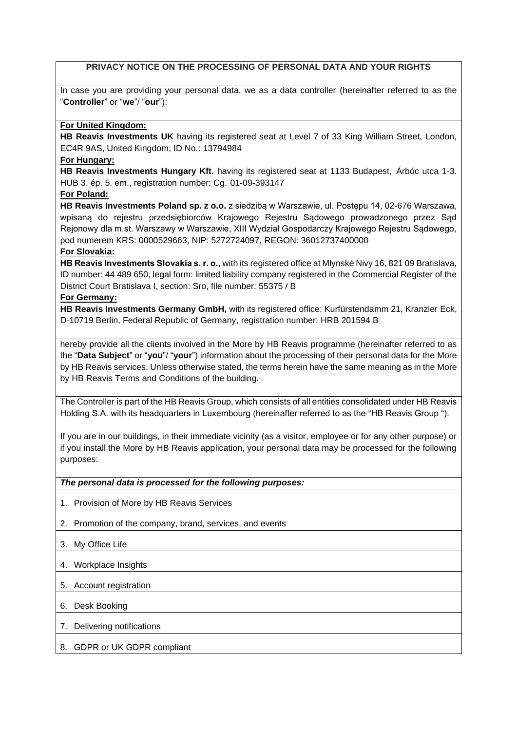# **PRIVACY NOTICE ON THE PROCESSING OF PERSONAL DATA AND YOUR RIGHTS**

In case you are providing your personal data, we as a data controller (hereinafter referred to as the "**Controller**" or "**we**"/ "**our**"):

## **For United Kingdom:**

**HB Reavis Investments UK** having its registered seat at Level 7 of 33 King William Street, London, EC4R 9AS, United Kingdom, ID No.: 13794984

### **For Hungary:**

**HB Reavis Investments Hungary Kft.** having its registered seat at 1133 Budapest, Árbóc utca 1-3. HUB 3. ép. 5. em., registration number: Cg. 01-09-393147

**For Poland:**

**HB Reavis Investments Poland sp. z o.o.** z siedzibą w Warszawie, ul. Postępu 14, 02-676 Warszawa, wpisaną do rejestru przedsiębiorców Krajowego Rejestru Sądowego prowadzonego przez Sąd Rejonowy dla m.st. Warszawy w Warszawie, XIII Wydział Gospodarczy Krajowego Rejestru Sądowego, pod numerem KRS: 0000529663, NIP: 5272724097, REGON: 36012737400000

## **For Slovakia:**

**HB Reavis Investments Slovakia s. r. o.**, with its registered office at Mlynské Nivy 16, 821 09 Bratislava, ID number: 44 489 650, legal form: limited liability company registered in the Commercial Register of the District Court Bratislava I, section: Sro, file number: 55375 / B

## **For Germany:**

**HB Reavis Investments Germany GmbH,** with its registered office: Kurfürstendamm 21, Kranzler Eck, D-10719 Berlin, Federal Republic of Germany, registration number: HRB 201594 B

hereby provide all the clients involved in the More by HB Reavis programme (hereinafter referred to as the "**Data Subject**" or "**you**"/ "**your**") information about the processing of their personal data for the More by HB Reavis services. Unless otherwise stated, the terms herein have the same meaning as in the More by HB Reavis Terms and Conditions of the building.

The Controller is part of the HB Reavis Group, which consists of all entities consolidated under HB Reavis Holding S.A. with its headquarters in Luxembourg (hereinafter referred to as the "HB Reavis Group ").

If you are in our buildings, in their immediate vicinity (as a visitor, employee or for any other purpose) or if you install the More by HB Reavis application, your personal data may be processed for the following purposes:

#### *The personal data is processed for the following purposes:*

- 1. Provision of More by HB Reavis Services
- 2. Promotion of the company, brand, services, and events
- 3. My Office Life
- 4. Workplace Insights
- 5. Account registration
- 6. Desk Booking

#### 7. Delivering notifications

#### 8. GDPR or UK GDPR compliant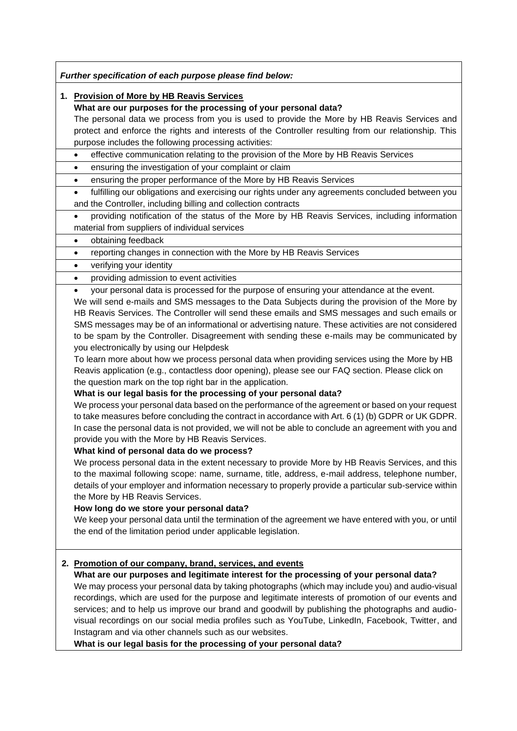*Further specification of each purpose please find below:*

## **1. Provision of More by HB Reavis Services**

**What are our purposes for the processing of your personal data?**

The personal data we process from you is used to provide the More by HB Reavis Services and protect and enforce the rights and interests of the Controller resulting from our relationship. This purpose includes the following processing activities:

#### • effective communication relating to the provision of the More by HB Reavis Services

• ensuring the investigation of your complaint or claim

• ensuring the proper performance of the More by HB Reavis Services

• fulfilling our obligations and exercising our rights under any agreements concluded between you and the Controller, including billing and collection contracts

• providing notification of the status of the More by HB Reavis Services, including information material from suppliers of individual services

- obtaining feedback
- reporting changes in connection with the More by HB Reavis Services

• verifying your identity

## • providing admission to event activities

• your personal data is processed for the purpose of ensuring your attendance at the event.

We will send e-mails and SMS messages to the Data Subjects during the provision of the More by HB Reavis Services. The Controller will send these emails and SMS messages and such emails or SMS messages may be of an informational or advertising nature. These activities are not considered to be spam by the Controller. Disagreement with sending these e-mails may be communicated by you electronically by using our Helpdesk

To learn more about how we process personal data when providing services using the More by HB Reavis application (e.g., contactless door opening), please see our FAQ section. Please click on the question mark on the top right bar in the application.

#### **What is our legal basis for the processing of your personal data?**

We process your personal data based on the performance of the agreement or based on your request to take measures before concluding the contract in accordance with Art. 6 (1) (b) GDPR or UK GDPR. In case the personal data is not provided, we will not be able to conclude an agreement with you and provide you with the More by HB Reavis Services.

## **What kind of personal data do we process?**

We process personal data in the extent necessary to provide More by HB Reavis Services, and this to the maximal following scope: name, surname, title, address, e-mail address, telephone number, details of your employer and information necessary to properly provide a particular sub-service within the More by HB Reavis Services.

# **How long do we store your personal data?**

We keep your personal data until the termination of the agreement we have entered with you, or until the end of the limitation period under applicable legislation.

# **2. Promotion of our company, brand, services, and events**

# **What are our purposes and legitimate interest for the processing of your personal data?**

We may process your personal data by taking photographs (which may include you) and audio-visual recordings, which are used for the purpose and legitimate interests of promotion of our events and services; and to help us improve our brand and goodwill by publishing the photographs and audiovisual recordings on our social media profiles such as YouTube, LinkedIn, Facebook, Twitter, and Instagram and via other channels such as our websites.

**What is our legal basis for the processing of your personal data?**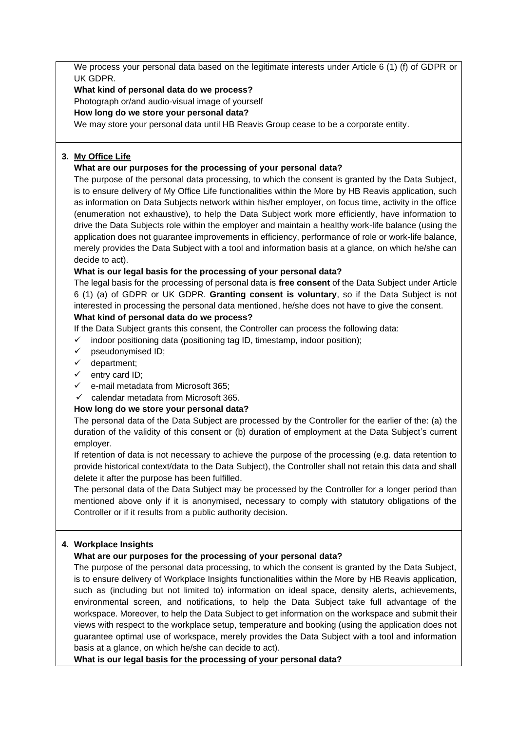We process your personal data based on the legitimate interests under Article 6 (1) (f) of GDPR or UK GDPR.

**What kind of personal data do we process?** Photograph or/and audio-visual image of yourself

**How long do we store your personal data?**

We may store your personal data until HB Reavis Group cease to be a corporate entity.

# **3. My Office Life**

# **What are our purposes for the processing of your personal data?**

The purpose of the personal data processing, to which the consent is granted by the Data Subject, is to ensure delivery of My Office Life functionalities within the More by HB Reavis application, such as information on Data Subjects network within his/her employer, on focus time, activity in the office (enumeration not exhaustive), to help the Data Subject work more efficiently, have information to drive the Data Subjects role within the employer and maintain a healthy work-life balance (using the application does not guarantee improvements in efficiency, performance of role or work-life balance, merely provides the Data Subject with a tool and information basis at a glance, on which he/she can decide to act).

# **What is our legal basis for the processing of your personal data?**

The legal basis for the processing of personal data is **free consent** of the Data Subject under Article 6 (1) (a) of GDPR or UK GDPR. **Granting consent is voluntary**, so if the Data Subject is not interested in processing the personal data mentioned, he/she does not have to give the consent. **What kind of personal data do we process?**

- If the Data Subject grants this consent, the Controller can process the following data:
- indoor positioning data (positioning tag ID, timestamp, indoor position);
- ✓ pseudonymised ID;
- $\checkmark$  department;
- ✓ entry card ID;
- ✓ e-mail metadata from Microsoft 365;
- $\checkmark$  calendar metadata from Microsoft 365.

# **How long do we store your personal data?**

The personal data of the Data Subject are processed by the Controller for the earlier of the: (a) the duration of the validity of this consent or (b) duration of employment at the Data Subject's current employer.

If retention of data is not necessary to achieve the purpose of the processing (e.g. data retention to provide historical context/data to the Data Subject), the Controller shall not retain this data and shall delete it after the purpose has been fulfilled.

The personal data of the Data Subject may be processed by the Controller for a longer period than mentioned above only if it is anonymised, necessary to comply with statutory obligations of the Controller or if it results from a public authority decision.

# **4. Workplace Insights**

# **What are our purposes for the processing of your personal data?**

The purpose of the personal data processing, to which the consent is granted by the Data Subject, is to ensure delivery of Workplace Insights functionalities within the More by HB Reavis application, such as (including but not limited to) information on ideal space, density alerts, achievements, environmental screen, and notifications, to help the Data Subject take full advantage of the workspace. Moreover, to help the Data Subject to get information on the workspace and submit their views with respect to the workplace setup, temperature and booking (using the application does not guarantee optimal use of workspace, merely provides the Data Subject with a tool and information basis at a glance, on which he/she can decide to act).

**What is our legal basis for the processing of your personal data?**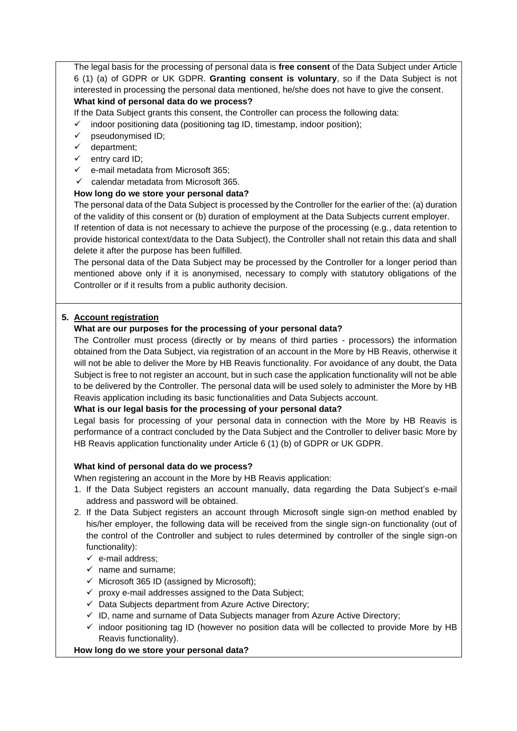The legal basis for the processing of personal data is **free consent** of the Data Subject under Article 6 (1) (a) of GDPR or UK GDPR. **Granting consent is voluntary**, so if the Data Subject is not interested in processing the personal data mentioned, he/she does not have to give the consent. **What kind of personal data do we process?**

If the Data Subject grants this consent, the Controller can process the following data:

- indoor positioning data (positioning tag ID, timestamp, indoor position);
- pseudonymised ID;
- ✓ department;
- $\checkmark$  entry card ID;
- e-mail metadata from Microsoft 365:
- $\checkmark$  calendar metadata from Microsoft 365.

# **How long do we store your personal data?**

The personal data of the Data Subject is processed by the Controller for the earlier of the: (a) duration of the validity of this consent or (b) duration of employment at the Data Subjects current employer. If retention of data is not necessary to achieve the purpose of the processing (e.g., data retention to provide historical context/data to the Data Subject), the Controller shall not retain this data and shall delete it after the purpose has been fulfilled.

The personal data of the Data Subject may be processed by the Controller for a longer period than mentioned above only if it is anonymised, necessary to comply with statutory obligations of the Controller or if it results from a public authority decision.

## **5. Account registration**

## **What are our purposes for the processing of your personal data?**

The Controller must process (directly or by means of third parties - processors) the information obtained from the Data Subject, via registration of an account in the More by HB Reavis, otherwise it will not be able to deliver the More by HB Reavis functionality. For avoidance of any doubt, the Data Subject is free to not register an account, but in such case the application functionality will not be able to be delivered by the Controller. The personal data will be used solely to administer the More by HB Reavis application including its basic functionalities and Data Subjects account.

#### **What is our legal basis for the processing of your personal data?**

Legal basis for processing of your personal data in connection with the More by HB Reavis is performance of a contract concluded by the Data Subject and the Controller to deliver basic More by HB Reavis application functionality under Article 6 (1) (b) of GDPR or UK GDPR.

#### **What kind of personal data do we process?**

When registering an account in the More by HB Reavis application:

- 1. If the Data Subject registers an account manually, data regarding the Data Subject's e-mail address and password will be obtained.
- 2. If the Data Subject registers an account through Microsoft single sign-on method enabled by his/her employer, the following data will be received from the single sign-on functionality (out of the control of the Controller and subject to rules determined by controller of the single sign-on functionality):
	- $\checkmark$  e-mail address:
	- $\checkmark$  name and surname;
	- $\checkmark$  Microsoft 365 ID (assigned by Microsoft);
	- $\checkmark$  proxy e-mail addresses assigned to the Data Subject;
	- $\checkmark$  Data Subjects department from Azure Active Directory;
	- $\checkmark$  ID, name and surname of Data Subjects manager from Azure Active Directory;
	- $\checkmark$  indoor positioning tag ID (however no position data will be collected to provide More by HB Reavis functionality).

#### **How long do we store your personal data?**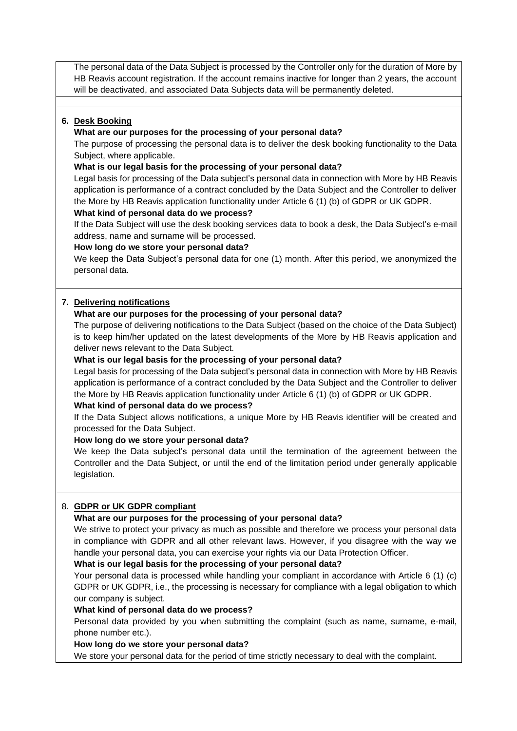The personal data of the Data Subject is processed by the Controller only for the duration of More by HB Reavis account registration. If the account remains inactive for longer than 2 years, the account will be deactivated, and associated Data Subjects data will be permanently deleted.

## **6. Desk Booking**

### **What are our purposes for the processing of your personal data?**

The purpose of processing the personal data is to deliver the desk booking functionality to the Data Subject, where applicable.

### **What is our legal basis for the processing of your personal data?**

Legal basis for processing of the Data subject's personal data in connection with More by HB Reavis application is performance of a contract concluded by the Data Subject and the Controller to deliver the More by HB Reavis application functionality under Article 6 (1) (b) of GDPR or UK GDPR.

## **What kind of personal data do we process?**

If the Data Subject will use the desk booking services data to book a desk, the Data Subject's e-mail address, name and surname will be processed.

## **How long do we store your personal data?**

We keep the Data Subject's personal data for one (1) month. After this period, we anonymized the personal data.

# **7. Delivering notifications**

## **What are our purposes for the processing of your personal data?**

The purpose of delivering notifications to the Data Subject (based on the choice of the Data Subject) is to keep him/her updated on the latest developments of the More by HB Reavis application and deliver news relevant to the Data Subject.

## **What is our legal basis for the processing of your personal data?**

Legal basis for processing of the Data subject's personal data in connection with More by HB Reavis application is performance of a contract concluded by the Data Subject and the Controller to deliver the More by HB Reavis application functionality under Article 6 (1) (b) of GDPR or UK GDPR.

#### **What kind of personal data do we process?**

If the Data Subject allows notifications, a unique More by HB Reavis identifier will be created and processed for the Data Subject.

#### **How long do we store your personal data?**

We keep the Data subject's personal data until the termination of the agreement between the Controller and the Data Subject, or until the end of the limitation period under generally applicable legislation.

#### 8. **GDPR or UK GDPR compliant**

# **What are our purposes for the processing of your personal data?**

We strive to protect your privacy as much as possible and therefore we process your personal data in compliance with GDPR and all other relevant laws. However, if you disagree with the way we handle your personal data, you can exercise your rights via our Data Protection Officer.

#### **What is our legal basis for the processing of your personal data?**

Your personal data is processed while handling your compliant in accordance with Article 6 (1) (c) GDPR or UK GDPR, i.e., the processing is necessary for compliance with a legal obligation to which our company is subject.

#### **What kind of personal data do we process?**

Personal data provided by you when submitting the complaint (such as name, surname, e-mail, phone number etc.).

#### **How long do we store your personal data?**

We store your personal data for the period of time strictly necessary to deal with the complaint.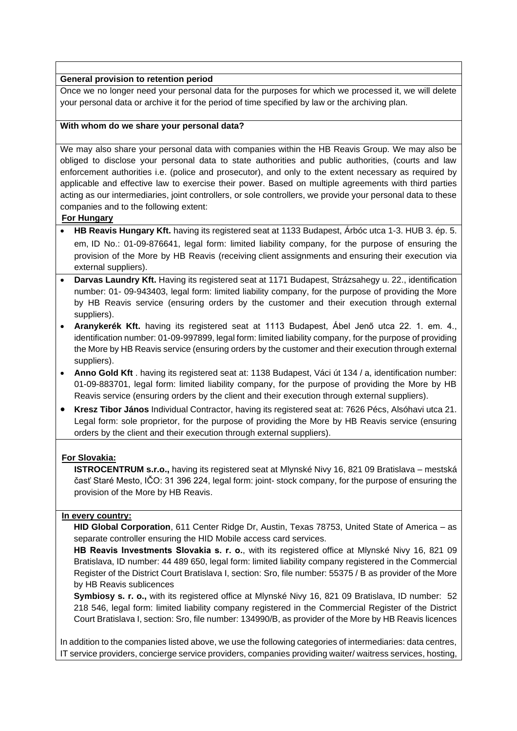#### **General provision to retention period**

Once we no longer need your personal data for the purposes for which we processed it, we will delete your personal data or archive it for the period of time specified by law or the archiving plan.

#### **With whom do we share your personal data?**

We may also share your personal data with companies within the HB Reavis Group. We may also be obliged to disclose your personal data to state authorities and public authorities, (courts and law enforcement authorities i.e. (police and prosecutor), and only to the extent necessary as required by applicable and effective law to exercise their power. Based on multiple agreements with third parties acting as our intermediaries, joint controllers, or sole controllers, we provide your personal data to these companies and to the following extent:

## **For Hungary**

- **HB Reavis Hungary Kft.** having its registered seat at 1133 Budapest, Árbóc utca 1-3. HUB 3. ép. 5. em, ID No.: 01-09-876641, legal form: limited liability company, for the purpose of ensuring the provision of the More by HB Reavis (receiving client assignments and ensuring their execution via external suppliers).
- **Darvas Laundry Kft.** Having its registered seat at 1171 Budapest, Strázsahegy u. 22., identification number: 01- 09-943403, legal form: limited liability company, for the purpose of providing the More by HB Reavis service (ensuring orders by the customer and their execution through external suppliers).
- **Aranykerék Kft.** having its registered seat at 1113 Budapest, Ábel Jenő utca 22. 1. em. 4., identification number: 01-09-997899, legal form: limited liability company, for the purpose of providing the More by HB Reavis service (ensuring orders by the customer and their execution through external suppliers).
- **Anno Gold Kft** . having its registered seat at: 1138 Budapest, Váci út 134 / a, identification number: 01-09-883701, legal form: limited liability company, for the purpose of providing the More by HB Reavis service (ensuring orders by the client and their execution through external suppliers).
- **Kresz Tibor János** Individual Contractor, having its registered seat at: 7626 Pécs, Alsóhavi utca 21. Legal form: sole proprietor, for the purpose of providing the More by HB Reavis service (ensuring orders by the client and their execution through external suppliers).

# **For Slovakia:**

**ISTROCENTRUM s.r.o.,** having its registered seat at Mlynské Nivy 16, 821 09 Bratislava – mestská časť Staré Mesto, IČO: 31 396 224, legal form: joint- stock company, for the purpose of ensuring the provision of the More by HB Reavis.

#### **In every country:**

**HID Global Corporation**, 611 Center Ridge Dr, Austin, Texas 78753, United State of America – as separate controller ensuring the HID Mobile access card services.

**HB Reavis Investments Slovakia s. r. o.**, with its registered office at Mlynské Nivy 16, 821 09 Bratislava, ID number: 44 489 650, legal form: limited liability company registered in the Commercial Register of the District Court Bratislava I, section: Sro, file number: 55375 / B as provider of the More by HB Reavis sublicences

**Symbiosy s. r. o.,** with its registered office at Mlynské Nivy 16, 821 09 Bratislava, ID number: 52 218 546, legal form: limited liability company registered in the Commercial Register of the District Court Bratislava I, section: Sro, file number: 134990/B, as provider of the More by HB Reavis licences

In addition to the companies listed above, we use the following categories of intermediaries: data centres, IT service providers, concierge service providers, companies providing waiter/ waitress services, hosting,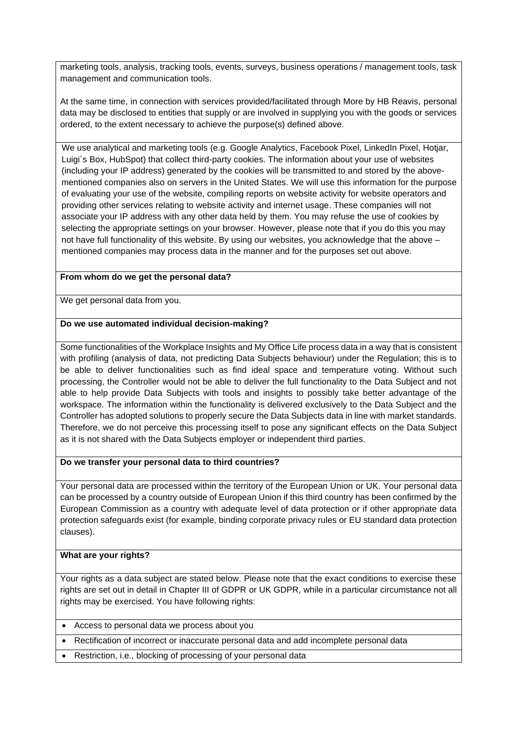marketing tools, analysis, tracking tools, events, surveys, business operations / management tools, task management and communication tools.

At the same time, in connection with services provided/facilitated through More by HB Reavis, personal data may be disclosed to entities that supply or are involved in supplying you with the goods or services ordered, to the extent necessary to achieve the purpose(s) defined above.

We use analytical and marketing tools (e.g. Google Analytics, Facebook Pixel, LinkedIn Pixel, Hotjar, Luigi´s Box, HubSpot) that collect third-party cookies. The information about your use of websites (including your IP address) generated by the cookies will be transmitted to and stored by the abovementioned companies also on servers in the United States. We will use this information for the purpose of evaluating your use of the website, compiling reports on website activity for website operators and providing other services relating to website activity and internet usage. These companies will not associate your IP address with any other data held by them. You may refuse the use of cookies by selecting the appropriate settings on your browser. However, please note that if you do this you may not have full functionality of this website. By using our websites, you acknowledge that the above – mentioned companies may process data in the manner and for the purposes set out above.

## **From whom do we get the personal data?**

We get personal data from you.

## **Do we use automated individual decision-making?**

Some functionalities of the Workplace Insights and My Office Life process data in a way that is consistent with profiling (analysis of data, not predicting Data Subjects behaviour) under the Regulation; this is to be able to deliver functionalities such as find ideal space and temperature voting. Without such processing, the Controller would not be able to deliver the full functionality to the Data Subject and not able to help provide Data Subjects with tools and insights to possibly take better advantage of the workspace. The information within the functionality is delivered exclusively to the Data Subject and the Controller has adopted solutions to properly secure the Data Subjects data in line with market standards. Therefore, we do not perceive this processing itself to pose any significant effects on the Data Subject as it is not shared with the Data Subjects employer or independent third parties.

#### **Do we transfer your personal data to third countries?**

Your personal data are processed within the territory of the European Union or UK. Your personal data can be processed by a country outside of European Union if this third country has been confirmed by the European Commission as a country with adequate level of data protection or if other appropriate data protection safeguards exist (for example, binding corporate privacy rules or EU standard data protection clauses).

#### **What are your rights?**

Your rights as a data subject are stated below. Please note that the exact conditions to exercise these rights are set out in detail in Chapter III of GDPR or UK GDPR, while in a particular circumstance not all rights may be exercised. You have following rights:

- Access to personal data we process about you
- Rectification of incorrect or inaccurate personal data and add incomplete personal data
- Restriction, i.e., blocking of processing of your personal data